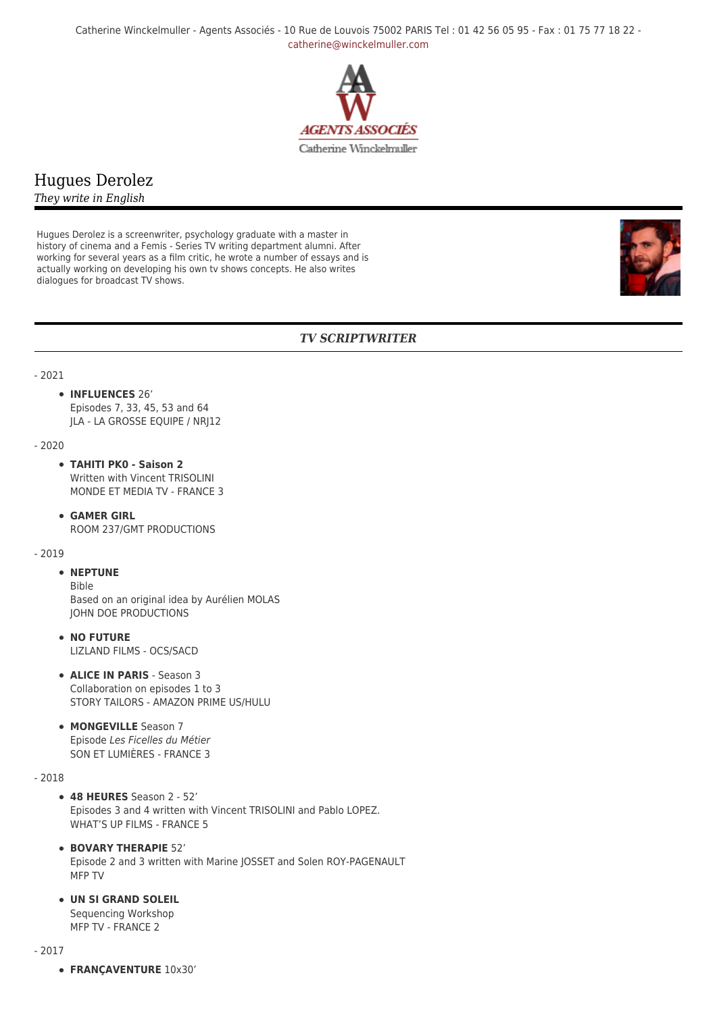Catherine Winckelmuller - Agents Associés - 10 Rue de Louvois 75002 PARIS Tel : 01 42 56 05 95 - Fax : 01 75 77 18 22 [catherine@winckelmuller.com](mailto:catherine@winckelmuller.com)



# Hugues Derolez

*They write in English*

Hugues Derolez is a screenwriter, psychology graduate with a master in history of cinema and a Femis - Series TV writing department alumni. After working for several years as a film critic, he wrote a number of essays and is actually working on developing his own tv shows concepts. He also writes dialogues for broadcast TV shows.



# *TV SCRIPTWRITER*

#### - 2021

## **INFLUENCES** 26'

Episodes 7, 33, 45, 53 and 64 JLA - LA GROSSE EQUIPE / NRJ12

- 2020

- **TAHITI PK0 Saison 2** Written with Vincent TRISOLINI MONDE ET MEDIA TV - FRANCE 3
- **GAMER GIRL** ROOM 237/GMT PRODUCTIONS

#### - 2019

## **• NEPTUNE**

Bible Based on an original idea by Aurélien MOLAS JOHN DOE PRODUCTIONS

- **NO FUTURE** LIZLAND FILMS - OCS/SACD
- **ALICE IN PARIS** Season 3 Collaboration on episodes 1 to 3 STORY TAILORS - AMAZON PRIME US/HULU
- **MONGEVILLE** Season 7 Episode Les Ficelles du Métier SON ET LUMIÈRES - FRANCE 3

## - 2018

- **48 HEURES** Season 2 52' Episodes 3 and 4 written with Vincent TRISOLINI and Pablo LOPEZ. WHAT'S UP FILMS - FRANCE 5
- **BOVARY THERAPIE** 52' Episode 2 and 3 written with Marine JOSSET and Solen ROY-PAGENAULT MFP TV
- **UN SI GRAND SOLEIL** Sequencing Workshop MFP TV - FRANCE 2

- 2017

**FRANÇAVENTURE** 10x30'